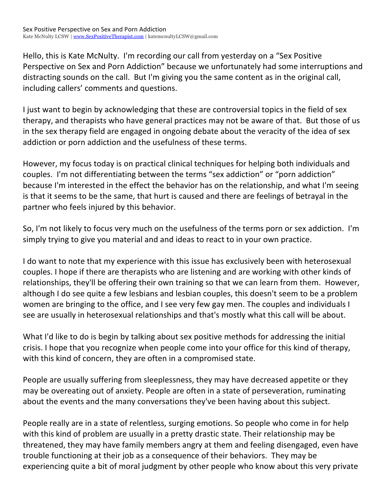Hello, this is Kate McNulty. I'm recording our call from yesterday on a "Sex Positive Perspective on Sex and Porn Addiction" because we unfortunately had some interruptions and distracting sounds on the call. But I'm giving you the same content as in the original call, including callers' comments and questions.

I just want to begin by acknowledging that these are controversial topics in the field of sex therapy, and therapists who have general practices may not be aware of that. But those of us in the sex therapy field are engaged in ongoing debate about the veracity of the idea of sex addiction or porn addiction and the usefulness of these terms.

However, my focus today is on practical clinical techniques for helping both individuals and couples. I'm not differentiating between the terms "sex addiction" or "porn addiction" because I'm interested in the effect the behavior has on the relationship, and what I'm seeing is that it seems to be the same, that hurt is caused and there are feelings of betrayal in the partner who feels injured by this behavior.

So, I'm not likely to focus very much on the usefulness of the terms porn or sex addiction. I'm simply trying to give you material and and ideas to react to in your own practice.

I do want to note that my experience with this issue has exclusively been with heterosexual couples. I hope if there are therapists who are listening and are working with other kinds of relationships, they'll be offering their own training so that we can learn from them. However, although I do see quite a few lesbians and lesbian couples, this doesn't seem to be a problem women are bringing to the office, and I see very few gay men. The couples and individuals I see are usually in heterosexual relationships and that's mostly what this call will be about.

What I'd like to do is begin by talking about sex positive methods for addressing the initial crisis. I hope that you recognize when people come into your office for this kind of therapy, with this kind of concern, they are often in a compromised state.

People are usually suffering from sleeplessness, they may have decreased appetite or they may be overeating out of anxiety. People are often in a state of perseveration, ruminating about the events and the many conversations they've been having about this subject.

People really are in a state of relentless, surging emotions. So people who come in for help with this kind of problem are usually in a pretty drastic state. Their relationship may be threatened, they may have family members angry at them and feeling disengaged, even have trouble functioning at their job as a consequence of their behaviors. They may be experiencing quite a bit of moral judgment by other people who know about this very private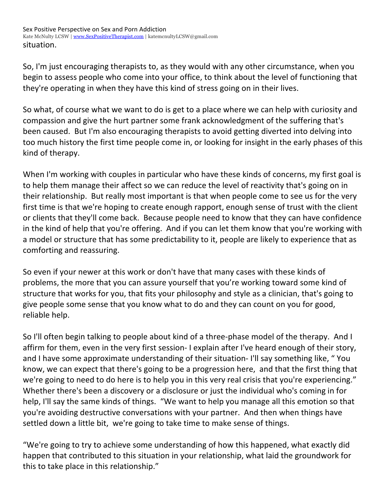Sex Positive Perspective on Sex and Porn Addiction Kate McNulty LCSW | www.SexPositiveTherapist.com | katemcnultyLCSW@gmail.com situation. 

So, I'm just encouraging therapists to, as they would with any other circumstance, when you begin to assess people who come into your office, to think about the level of functioning that they're operating in when they have this kind of stress going on in their lives.

So what, of course what we want to do is get to a place where we can help with curiosity and compassion and give the hurt partner some frank acknowledgment of the suffering that's been caused. But I'm also encouraging therapists to avoid getting diverted into delving into too much history the first time people come in, or looking for insight in the early phases of this kind of therapy.

When I'm working with couples in particular who have these kinds of concerns, my first goal is to help them manage their affect so we can reduce the level of reactivity that's going on in their relationship. But really most important is that when people come to see us for the very first time is that we're hoping to create enough rapport, enough sense of trust with the client or clients that they'll come back. Because people need to know that they can have confidence in the kind of help that you're offering. And if you can let them know that you're working with a model or structure that has some predictability to it, people are likely to experience that as comforting and reassuring.

So even if your newer at this work or don't have that many cases with these kinds of problems, the more that you can assure yourself that you're working toward some kind of structure that works for you, that fits your philosophy and style as a clinician, that's going to give people some sense that you know what to do and they can count on you for good, reliable help.

So I'll often begin talking to people about kind of a three-phase model of the therapy. And I affirm for them, even in the very first session- I explain after I've heard enough of their story, and I have some approximate understanding of their situation- I'll say something like, "You know, we can expect that there's going to be a progression here, and that the first thing that we're going to need to do here is to help you in this very real crisis that you're experiencing." Whether there's been a discovery or a disclosure or just the individual who's coming in for help, I'll say the same kinds of things. "We want to help you manage all this emotion so that you're avoiding destructive conversations with your partner. And then when things have settled down a little bit, we're going to take time to make sense of things.

"We're going to try to achieve some understanding of how this happened, what exactly did happen that contributed to this situation in your relationship, what laid the groundwork for this to take place in this relationship."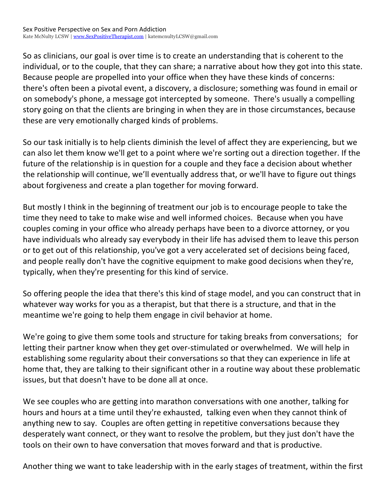So as clinicians, our goal is over time is to create an understanding that is coherent to the individual, or to the couple, that they can share; a narrative about how they got into this state. Because people are propelled into your office when they have these kinds of concerns: there's often been a pivotal event, a discovery, a disclosure; something was found in email or on somebody's phone, a message got intercepted by someone. There's usually a compelling story going on that the clients are bringing in when they are in those circumstances, because these are very emotionally charged kinds of problems.

So our task initially is to help clients diminish the level of affect they are experiencing, but we can also let them know we'll get to a point where we're sorting out a direction together. If the future of the relationship is in question for a couple and they face a decision about whether the relationship will continue, we'll eventually address that, or we'll have to figure out things about forgiveness and create a plan together for moving forward.

But mostly I think in the beginning of treatment our job is to encourage people to take the time they need to take to make wise and well informed choices. Because when you have couples coming in your office who already perhaps have been to a divorce attorney, or you have individuals who already say everybody in their life has advised them to leave this person or to get out of this relationship, you've got a very accelerated set of decisions being faced, and people really don't have the cognitive equipment to make good decisions when they're, typically, when they're presenting for this kind of service.

So offering people the idea that there's this kind of stage model, and you can construct that in whatever way works for you as a therapist, but that there is a structure, and that in the meantime we're going to help them engage in civil behavior at home.

We're going to give them some tools and structure for taking breaks from conversations; for letting their partner know when they get over-stimulated or overwhelmed. We will help in establishing some regularity about their conversations so that they can experience in life at home that, they are talking to their significant other in a routine way about these problematic issues, but that doesn't have to be done all at once.

We see couples who are getting into marathon conversations with one another, talking for hours and hours at a time until they're exhausted, talking even when they cannot think of anything new to say. Couples are often getting in repetitive conversations because they desperately want connect, or they want to resolve the problem, but they just don't have the tools on their own to have conversation that moves forward and that is productive.

Another thing we want to take leadership with in the early stages of treatment, within the first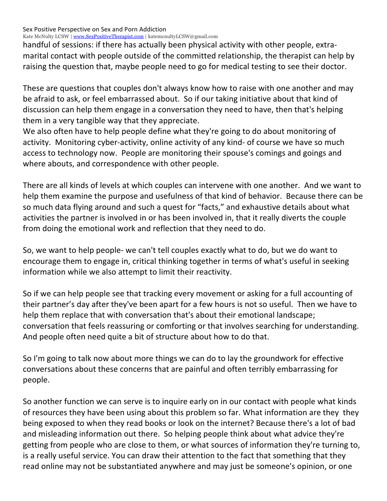Kate McNulty LCSW | www.SexPositiveTherapist.com | katemcnultyLCSW@gmail.com

handful of sessions: if there has actually been physical activity with other people, extramarital contact with people outside of the committed relationship, the therapist can help by raising the question that, maybe people need to go for medical testing to see their doctor.

These are questions that couples don't always know how to raise with one another and may be afraid to ask, or feel embarrassed about. So if our taking initiative about that kind of discussion can help them engage in a conversation they need to have, then that's helping them in a very tangible way that they appreciate.

We also often have to help people define what they're going to do about monitoring of activity. Monitoring cyber-activity, online activity of any kind- of course we have so much access to technology now. People are monitoring their spouse's comings and goings and where abouts, and correspondence with other people.

There are all kinds of levels at which couples can intervene with one another. And we want to help them examine the purpose and usefulness of that kind of behavior. Because there can be so much data flying around and such a quest for "facts," and exhaustive details about what activities the partner is involved in or has been involved in, that it really diverts the couple from doing the emotional work and reflection that they need to do.

So, we want to help people- we can't tell couples exactly what to do, but we do want to encourage them to engage in, critical thinking together in terms of what's useful in seeking information while we also attempt to limit their reactivity.

So if we can help people see that tracking every movement or asking for a full accounting of their partner's day after they've been apart for a few hours is not so useful. Then we have to help them replace that with conversation that's about their emotional landscape; conversation that feels reassuring or comforting or that involves searching for understanding. And people often need quite a bit of structure about how to do that.

So I'm going to talk now about more things we can do to lay the groundwork for effective conversations about these concerns that are painful and often terribly embarrassing for people. 

So another function we can serve is to inquire early on in our contact with people what kinds of resources they have been using about this problem so far. What information are they they being exposed to when they read books or look on the internet? Because there's a lot of bad and misleading information out there. So helping people think about what advice they're getting from people who are close to them, or what sources of information they're turning to, is a really useful service. You can draw their attention to the fact that something that they read online may not be substantiated anywhere and may just be someone's opinion, or one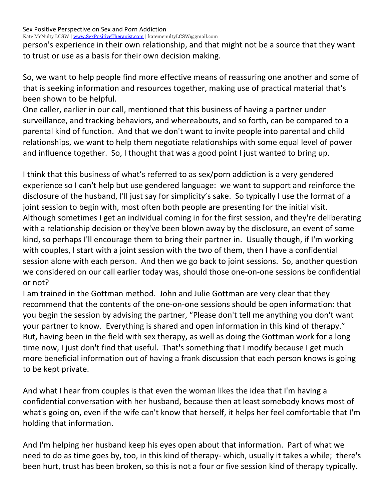Kate McNulty LCSW | www.SexPositiveTherapist.com | katemcnultyLCSW@gmail.com

person's experience in their own relationship, and that might not be a source that they want to trust or use as a basis for their own decision making.

So, we want to help people find more effective means of reassuring one another and some of that is seeking information and resources together, making use of practical material that's been shown to be helpful.

One caller, earlier in our call, mentioned that this business of having a partner under surveillance, and tracking behaviors, and whereabouts, and so forth, can be compared to a parental kind of function. And that we don't want to invite people into parental and child relationships, we want to help them negotiate relationships with some equal level of power and influence together. So, I thought that was a good point I just wanted to bring up.

I think that this business of what's referred to as sex/porn addiction is a very gendered experience so I can't help but use gendered language: we want to support and reinforce the disclosure of the husband, I'll just say for simplicity's sake. So typically I use the format of a joint session to begin with, most often both people are presenting for the initial visit. Although sometimes I get an individual coming in for the first session, and they're deliberating with a relationship decision or they've been blown away by the disclosure, an event of some kind, so perhaps I'll encourage them to bring their partner in. Usually though, if I'm working with couples, I start with a joint session with the two of them, then I have a confidential session alone with each person. And then we go back to joint sessions. So, another question we considered on our call earlier today was, should those one-on-one sessions be confidential or not?

I am trained in the Gottman method. John and Julie Gottman are very clear that they recommend that the contents of the one-on-one sessions should be open information: that you begin the session by advising the partner, "Please don't tell me anything you don't want your partner to know. Everything is shared and open information in this kind of therapy." But, having been in the field with sex therapy, as well as doing the Gottman work for a long time now, I just don't find that useful. That's something that I modify because I get much more beneficial information out of having a frank discussion that each person knows is going to be kept private.

And what I hear from couples is that even the woman likes the idea that I'm having a confidential conversation with her husband, because then at least somebody knows most of what's going on, even if the wife can't know that herself, it helps her feel comfortable that I'm holding that information.

And I'm helping her husband keep his eyes open about that information. Part of what we need to do as time goes by, too, in this kind of therapy- which, usually it takes a while; there's been hurt, trust has been broken, so this is not a four or five session kind of therapy typically.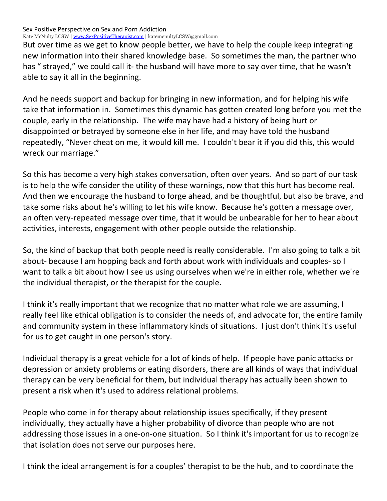Kate McNulty LCSW | www.SexPositiveTherapist.com | katemcnultyLCSW@gmail.com

But over time as we get to know people better, we have to help the couple keep integrating new information into their shared knowledge base. So sometimes the man, the partner who has " straved," we could call it- the husband will have more to say over time, that he wasn't able to say it all in the beginning.

And he needs support and backup for bringing in new information, and for helping his wife take that information in. Sometimes this dynamic has gotten created long before you met the couple, early in the relationship. The wife may have had a history of being hurt or disappointed or betrayed by someone else in her life, and may have told the husband repeatedly, "Never cheat on me, it would kill me. I couldn't bear it if you did this, this would wreck our marriage."

So this has become a very high stakes conversation, often over years. And so part of our task is to help the wife consider the utility of these warnings, now that this hurt has become real. And then we encourage the husband to forge ahead, and be thoughtful, but also be brave, and take some risks about he's willing to let his wife know. Because he's gotten a message over, an often very-repeated message over time, that it would be unbearable for her to hear about activities, interests, engagement with other people outside the relationship.

So, the kind of backup that both people need is really considerable. I'm also going to talk a bit about- because I am hopping back and forth about work with individuals and couples- so I want to talk a bit about how I see us using ourselves when we're in either role, whether we're the individual therapist, or the therapist for the couple.

I think it's really important that we recognize that no matter what role we are assuming, I really feel like ethical obligation is to consider the needs of, and advocate for, the entire family and community system in these inflammatory kinds of situations. I just don't think it's useful for us to get caught in one person's story.

Individual therapy is a great vehicle for a lot of kinds of help. If people have panic attacks or depression or anxiety problems or eating disorders, there are all kinds of ways that individual therapy can be very beneficial for them, but individual therapy has actually been shown to present a risk when it's used to address relational problems.

People who come in for therapy about relationship issues specifically, if they present individually, they actually have a higher probability of divorce than people who are not addressing those issues in a one-on-one situation. So I think it's important for us to recognize that isolation does not serve our purposes here.

I think the ideal arrangement is for a couples' therapist to be the hub, and to coordinate the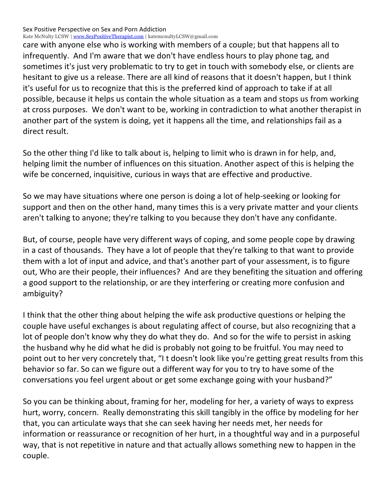Kate McNulty LCSW | www.SexPositiveTherapist.com | katemcnultyLCSW@gmail.com

care with anyone else who is working with members of a couple; but that happens all to infrequently. And I'm aware that we don't have endless hours to play phone tag, and sometimes it's just very problematic to try to get in touch with somebody else, or clients are hesitant to give us a release. There are all kind of reasons that it doesn't happen, but I think it's useful for us to recognize that this is the preferred kind of approach to take if at all possible, because it helps us contain the whole situation as a team and stops us from working at cross purposes. We don't want to be, working in contradiction to what another therapist in another part of the system is doing, yet it happens all the time, and relationships fail as a direct result. 

So the other thing I'd like to talk about is, helping to limit who is drawn in for help, and, helping limit the number of influences on this situation. Another aspect of this is helping the wife be concerned, inquisitive, curious in ways that are effective and productive.

So we may have situations where one person is doing a lot of help-seeking or looking for support and then on the other hand, many times this is a very private matter and your clients aren't talking to anyone; they're talking to you because they don't have any confidante.

But, of course, people have very different ways of coping, and some people cope by drawing in a cast of thousands. They have a lot of people that they're talking to that want to provide them with a lot of input and advice, and that's another part of your assessment, is to figure out, Who are their people, their influences? And are they benefiting the situation and offering a good support to the relationship, or are they interfering or creating more confusion and ambiguity? 

I think that the other thing about helping the wife ask productive questions or helping the couple have useful exchanges is about regulating affect of course, but also recognizing that a lot of people don't know why they do what they do. And so for the wife to persist in asking the husband why he did what he did is probably not going to be fruitful. You may need to point out to her very concretely that, "I t doesn't look like you're getting great results from this behavior so far. So can we figure out a different way for you to try to have some of the conversations you feel urgent about or get some exchange going with your husband?"

So you can be thinking about, framing for her, modeling for her, a variety of ways to express hurt, worry, concern. Really demonstrating this skill tangibly in the office by modeling for her that, you can articulate ways that she can seek having her needs met, her needs for information or reassurance or recognition of her hurt, in a thoughtful way and in a purposeful way, that is not repetitive in nature and that actually allows something new to happen in the couple.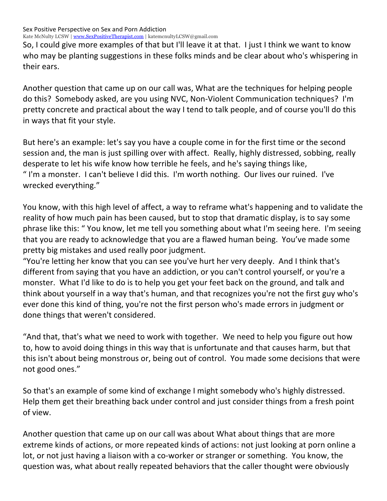Kate McNulty LCSW | www.SexPositiveTherapist.com | katemcnultyLCSW@gmail.com

So, I could give more examples of that but I'll leave it at that. I just I think we want to know who may be planting suggestions in these folks minds and be clear about who's whispering in their ears.

Another question that came up on our call was, What are the techniques for helping people do this? Somebody asked, are you using NVC, Non-Violent Communication techniques? I'm pretty concrete and practical about the way I tend to talk people, and of course you'll do this in ways that fit your style.

But here's an example: let's say you have a couple come in for the first time or the second session and, the man is just spilling over with affect. Really, highly distressed, sobbing, really desperate to let his wife know how terrible he feels, and he's saying things like, " I'm a monster. I can't believe I did this. I'm worth nothing. Our lives our ruined. I've wrecked everything."

You know, with this high level of affect, a way to reframe what's happening and to validate the reality of how much pain has been caused, but to stop that dramatic display, is to say some phrase like this: " You know, let me tell you something about what I'm seeing here. I'm seeing that you are ready to acknowledge that you are a flawed human being. You've made some pretty big mistakes and used really poor judgment.

"You're letting her know that you can see you've hurt her very deeply. And I think that's different from saying that you have an addiction, or you can't control yourself, or you're a monster. What I'd like to do is to help you get your feet back on the ground, and talk and think about yourself in a way that's human, and that recognizes you're not the first guy who's ever done this kind of thing, you're not the first person who's made errors in judgment or done things that weren't considered.

"And that, that's what we need to work with together. We need to help you figure out how to, how to avoid doing things in this way that is unfortunate and that causes harm, but that this isn't about being monstrous or, being out of control. You made some decisions that were not good ones."

So that's an example of some kind of exchange I might somebody who's highly distressed. Help them get their breathing back under control and just consider things from a fresh point of view. 

Another question that came up on our call was about What about things that are more extreme kinds of actions, or more repeated kinds of actions: not just looking at porn online a lot, or not just having a liaison with a co-worker or stranger or something. You know, the guestion was, what about really repeated behaviors that the caller thought were obviously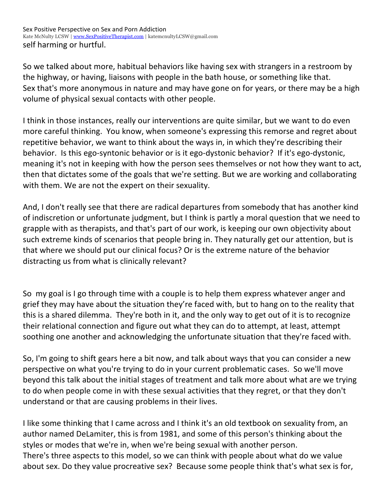Sex Positive Perspective on Sex and Porn Addiction Kate McNulty LCSW | www.SexPositiveTherapist.com | katemcnultyLCSW@gmail.com self harming or hurtful.

So we talked about more, habitual behaviors like having sex with strangers in a restroom by the highway, or having, liaisons with people in the bath house, or something like that. Sex that's more anonymous in nature and may have gone on for years, or there may be a high volume of physical sexual contacts with other people.

I think in those instances, really our interventions are quite similar, but we want to do even more careful thinking. You know, when someone's expressing this remorse and regret about repetitive behavior, we want to think about the ways in, in which they're describing their behavior. Is this ego-syntonic behavior or is it ego-dystonic behavior? If it's ego-dystonic, meaning it's not in keeping with how the person sees themselves or not how they want to act, then that dictates some of the goals that we're setting. But we are working and collaborating with them. We are not the expert on their sexuality.

And, I don't really see that there are radical departures from somebody that has another kind of indiscretion or unfortunate judgment, but I think is partly a moral question that we need to grapple with as therapists, and that's part of our work, is keeping our own objectivity about such extreme kinds of scenarios that people bring in. They naturally get our attention, but is that where we should put our clinical focus? Or is the extreme nature of the behavior distracting us from what is clinically relevant?

So my goal is I go through time with a couple is to help them express whatever anger and grief they may have about the situation they're faced with, but to hang on to the reality that this is a shared dilemma. They're both in it, and the only way to get out of it is to recognize their relational connection and figure out what they can do to attempt, at least, attempt soothing one another and acknowledging the unfortunate situation that they're faced with.

So, I'm going to shift gears here a bit now, and talk about ways that you can consider a new perspective on what you're trying to do in your current problematic cases. So we'll move beyond this talk about the initial stages of treatment and talk more about what are we trying to do when people come in with these sexual activities that they regret, or that they don't understand or that are causing problems in their lives.

I like some thinking that I came across and I think it's an old textbook on sexuality from, an author named DeLamiter, this is from 1981, and some of this person's thinking about the styles or modes that we're in, when we're being sexual with another person. There's three aspects to this model, so we can think with people about what do we value about sex. Do they value procreative sex? Because some people think that's what sex is for,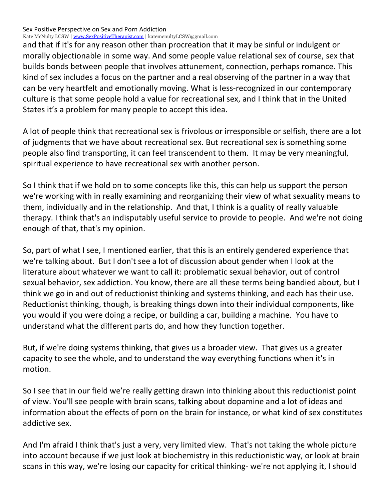Kate McNulty LCSW | www.SexPositiveTherapist.com | katemcnultyLCSW@gmail.com

and that if it's for any reason other than procreation that it may be sinful or indulgent or morally objectionable in some way. And some people value relational sex of course, sex that builds bonds between people that involves attunement, connection, perhaps romance. This kind of sex includes a focus on the partner and a real observing of the partner in a way that can be very heartfelt and emotionally moving. What is less-recognized in our contemporary culture is that some people hold a value for recreational sex, and I think that in the United States it's a problem for many people to accept this idea.

A lot of people think that recreational sex is frivolous or irresponsible or selfish, there are a lot of judgments that we have about recreational sex. But recreational sex is something some people also find transporting, it can feel transcendent to them. It may be very meaningful, spiritual experience to have recreational sex with another person.

So I think that if we hold on to some concepts like this, this can help us support the person we're working with in really examining and reorganizing their view of what sexuality means to them, individually and in the relationship. And that, I think is a quality of really valuable therapy. I think that's an indisputably useful service to provide to people. And we're not doing enough of that, that's my opinion.

So, part of what I see, I mentioned earlier, that this is an entirely gendered experience that we're talking about. But I don't see a lot of discussion about gender when I look at the literature about whatever we want to call it: problematic sexual behavior, out of control sexual behavior, sex addiction. You know, there are all these terms being bandied about, but I think we go in and out of reductionist thinking and systems thinking, and each has their use. Reductionist thinking, though, is breaking things down into their individual components, like you would if you were doing a recipe, or building a car, building a machine. You have to understand what the different parts do, and how they function together.

But, if we're doing systems thinking, that gives us a broader view. That gives us a greater capacity to see the whole, and to understand the way everything functions when it's in motion. 

So I see that in our field we're really getting drawn into thinking about this reductionist point of view. You'll see people with brain scans, talking about dopamine and a lot of ideas and information about the effects of porn on the brain for instance, or what kind of sex constitutes addictive sex.

And I'm afraid I think that's just a very, very limited view. That's not taking the whole picture into account because if we just look at biochemistry in this reductionistic way, or look at brain scans in this way, we're losing our capacity for critical thinking- we're not applying it, I should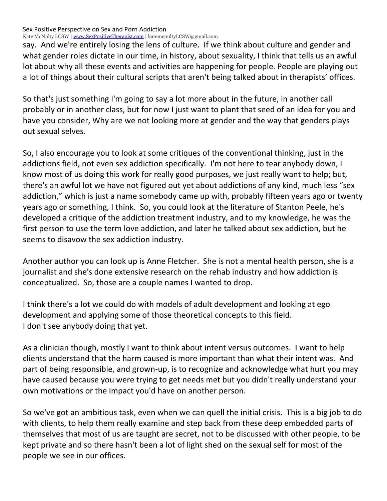Kate McNulty LCSW | www.SexPositiveTherapist.com | katemcnultyLCSW@gmail.com

say. And we're entirely losing the lens of culture. If we think about culture and gender and what gender roles dictate in our time, in history, about sexuality, I think that tells us an awful lot about why all these events and activities are happening for people. People are playing out a lot of things about their cultural scripts that aren't being talked about in therapists' offices.

So that's just something I'm going to say a lot more about in the future, in another call probably or in another class, but for now I just want to plant that seed of an idea for you and have you consider, Why are we not looking more at gender and the way that genders plays out sexual selves.

So, I also encourage you to look at some critiques of the conventional thinking, just in the addictions field, not even sex addiction specifically. I'm not here to tear anybody down, I know most of us doing this work for really good purposes, we just really want to help; but, there's an awful lot we have not figured out yet about addictions of any kind, much less "sex addiction," which is just a name somebody came up with, probably fifteen years ago or twenty years ago or something, I think. So, you could look at the literature of Stanton Peele, he's developed a critique of the addiction treatment industry, and to my knowledge, he was the first person to use the term love addiction, and later he talked about sex addiction, but he seems to disavow the sex addiction industry.

Another author you can look up is Anne Fletcher. She is not a mental health person, she is a journalist and she's done extensive research on the rehab industry and how addiction is conceptualized. So, those are a couple names I wanted to drop.

I think there's a lot we could do with models of adult development and looking at ego development and applying some of those theoretical concepts to this field. I don't see anybody doing that yet.

As a clinician though, mostly I want to think about intent versus outcomes. I want to help clients understand that the harm caused is more important than what their intent was. And part of being responsible, and grown-up, is to recognize and acknowledge what hurt you may have caused because you were trying to get needs met but you didn't really understand your own motivations or the impact you'd have on another person.

So we've got an ambitious task, even when we can quell the initial crisis. This is a big job to do with clients, to help them really examine and step back from these deep embedded parts of themselves that most of us are taught are secret, not to be discussed with other people, to be kept private and so there hasn't been a lot of light shed on the sexual self for most of the people we see in our offices.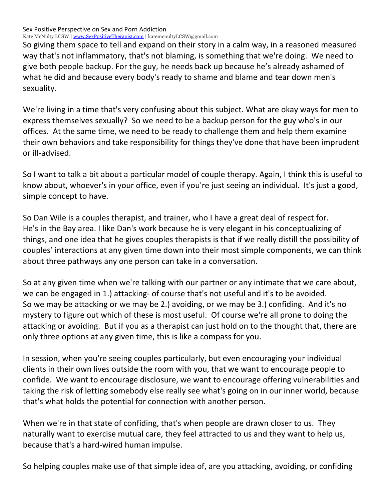Kate McNulty LCSW | www.SexPositiveTherapist.com | katemcnultyLCSW@gmail.com

So giving them space to tell and expand on their story in a calm way, in a reasoned measured way that's not inflammatory, that's not blaming, is something that we're doing. We need to give both people backup. For the guy, he needs back up because he's already ashamed of what he did and because every body's ready to shame and blame and tear down men's sexuality. 

We're living in a time that's very confusing about this subject. What are okay ways for men to express themselves sexually? So we need to be a backup person for the guy who's in our offices. At the same time, we need to be ready to challenge them and help them examine their own behaviors and take responsibility for things they've done that have been imprudent or ill-advised.

So I want to talk a bit about a particular model of couple therapy. Again, I think this is useful to know about, whoever's in your office, even if you're just seeing an individual. It's just a good, simple concept to have.

So Dan Wile is a couples therapist, and trainer, who I have a great deal of respect for. He's in the Bay area. I like Dan's work because he is very elegant in his conceptualizing of things, and one idea that he gives couples therapists is that if we really distill the possibility of couples' interactions at any given time down into their most simple components, we can think about three pathways any one person can take in a conversation.

So at any given time when we're talking with our partner or any intimate that we care about, we can be engaged in 1.) attacking- of course that's not useful and it's to be avoided. So we may be attacking or we may be 2.) avoiding, or we may be 3.) confiding. And it's no mystery to figure out which of these is most useful. Of course we're all prone to doing the attacking or avoiding. But if you as a therapist can just hold on to the thought that, there are only three options at any given time, this is like a compass for you.

In session, when you're seeing couples particularly, but even encouraging your individual clients in their own lives outside the room with you, that we want to encourage people to confide. We want to encourage disclosure, we want to encourage offering vulnerabilities and taking the risk of letting somebody else really see what's going on in our inner world, because that's what holds the potential for connection with another person.

When we're in that state of confiding, that's when people are drawn closer to us. They naturally want to exercise mutual care, they feel attracted to us and they want to help us, because that's a hard-wired human impulse.

So helping couples make use of that simple idea of, are you attacking, avoiding, or confiding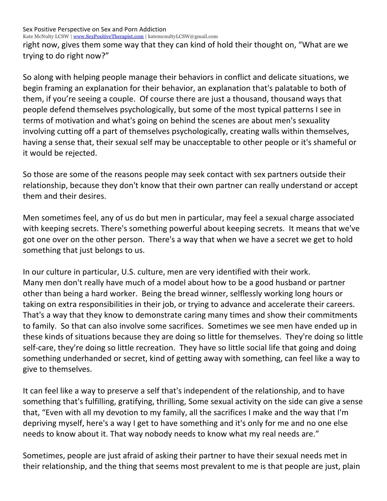Sex Positive Perspective on Sex and Porn Addiction Kate McNulty LCSW | www.SexPositiveTherapist.com | katemcnultyLCSW@gmail.com right now, gives them some way that they can kind of hold their thought on, "What are we trying to do right now?"

So along with helping people manage their behaviors in conflict and delicate situations, we begin framing an explanation for their behavior, an explanation that's palatable to both of them, if you're seeing a couple. Of course there are just a thousand, thousand ways that people defend themselves psychologically, but some of the most typical patterns I see in terms of motivation and what's going on behind the scenes are about men's sexuality involving cutting off a part of themselves psychologically, creating walls within themselves, having a sense that, their sexual self may be unacceptable to other people or it's shameful or it would be rejected.

So those are some of the reasons people may seek contact with sex partners outside their relationship, because they don't know that their own partner can really understand or accept them and their desires.

Men sometimes feel, any of us do but men in particular, may feel a sexual charge associated with keeping secrets. There's something powerful about keeping secrets. It means that we've got one over on the other person. There's a way that when we have a secret we get to hold something that just belongs to us.

In our culture in particular, U.S. culture, men are very identified with their work. Many men don't really have much of a model about how to be a good husband or partner other than being a hard worker. Being the bread winner, selflessly working long hours or taking on extra responsibilities in their job, or trying to advance and accelerate their careers. That's a way that they know to demonstrate caring many times and show their commitments to family. So that can also involve some sacrifices. Sometimes we see men have ended up in these kinds of situations because they are doing so little for themselves. They're doing so little self-care, they're doing so little recreation. They have so little social life that going and doing something underhanded or secret, kind of getting away with something, can feel like a way to give to themselves.

It can feel like a way to preserve a self that's independent of the relationship, and to have something that's fulfilling, gratifying, thrilling, Some sexual activity on the side can give a sense that, "Even with all my devotion to my family, all the sacrifices I make and the way that I'm depriving myself, here's a way I get to have something and it's only for me and no one else needs to know about it. That way nobody needs to know what my real needs are."

Sometimes, people are just afraid of asking their partner to have their sexual needs met in their relationship, and the thing that seems most prevalent to me is that people are just, plain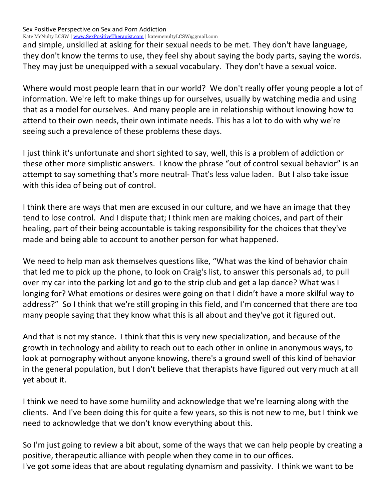Kate McNulty LCSW | www.SexPositiveTherapist.com | katemcnultyLCSW@gmail.com

and simple, unskilled at asking for their sexual needs to be met. They don't have language, they don't know the terms to use, they feel shy about saying the body parts, saying the words. They may just be unequipped with a sexual vocabulary. They don't have a sexual voice.

Where would most people learn that in our world? We don't really offer young people a lot of information. We're left to make things up for ourselves, usually by watching media and using that as a model for ourselves. And many people are in relationship without knowing how to attend to their own needs, their own intimate needs. This has a lot to do with why we're seeing such a prevalence of these problems these days.

I just think it's unfortunate and short sighted to say, well, this is a problem of addiction or these other more simplistic answers. I know the phrase "out of control sexual behavior" is an attempt to say something that's more neutral- That's less value laden. But I also take issue with this idea of being out of control.

I think there are ways that men are excused in our culture, and we have an image that they tend to lose control. And I dispute that; I think men are making choices, and part of their healing, part of their being accountable is taking responsibility for the choices that they've made and being able to account to another person for what happened.

We need to help man ask themselves questions like, "What was the kind of behavior chain that led me to pick up the phone, to look on Craig's list, to answer this personals ad, to pull over my car into the parking lot and go to the strip club and get a lap dance? What was I longing for? What emotions or desires were going on that I didn't have a more skilful way to address?" So I think that we're still groping in this field, and I'm concerned that there are too many people saying that they know what this is all about and they've got it figured out.

And that is not my stance. I think that this is very new specialization, and because of the growth in technology and ability to reach out to each other in online in anonymous ways, to look at pornography without anyone knowing, there's a ground swell of this kind of behavior in the general population, but I don't believe that therapists have figured out very much at all yet about it.

I think we need to have some humility and acknowledge that we're learning along with the clients. And I've been doing this for quite a few years, so this is not new to me, but I think we need to acknowledge that we don't know everything about this.

So I'm just going to review a bit about, some of the ways that we can help people by creating a positive, therapeutic alliance with people when they come in to our offices. I've got some ideas that are about regulating dynamism and passivity. I think we want to be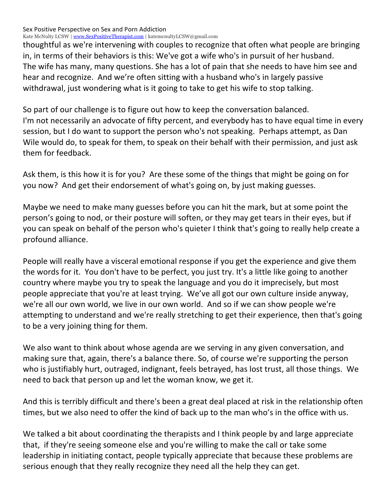Kate McNulty LCSW | www.SexPositiveTherapist.com | katemcnultyLCSW@gmail.com

thoughtful as we're intervening with couples to recognize that often what people are bringing in, in terms of their behaviors is this: We've got a wife who's in pursuit of her husband. The wife has many, many questions. She has a lot of pain that she needs to have him see and hear and recognize. And we're often sitting with a husband who's in largely passive withdrawal, just wondering what is it going to take to get his wife to stop talking.

So part of our challenge is to figure out how to keep the conversation balanced. I'm not necessarily an advocate of fifty percent, and everybody has to have equal time in every session, but I do want to support the person who's not speaking. Perhaps attempt, as Dan Wile would do, to speak for them, to speak on their behalf with their permission, and just ask them for feedback.

Ask them, is this how it is for you? Are these some of the things that might be going on for you now? And get their endorsement of what's going on, by just making guesses.

Maybe we need to make many guesses before you can hit the mark, but at some point the person's going to nod, or their posture will soften, or they may get tears in their eyes, but if you can speak on behalf of the person who's quieter I think that's going to really help create a profound alliance.

People will really have a visceral emotional response if you get the experience and give them the words for it. You don't have to be perfect, you just try. It's a little like going to another country where maybe you try to speak the language and you do it imprecisely, but most people appreciate that you're at least trying. We've all got our own culture inside anyway, we're all our own world, we live in our own world. And so if we can show people we're attempting to understand and we're really stretching to get their experience, then that's going to be a very joining thing for them.

We also want to think about whose agenda are we serving in any given conversation, and making sure that, again, there's a balance there. So, of course we're supporting the person who is justifiably hurt, outraged, indignant, feels betrayed, has lost trust, all those things. We need to back that person up and let the woman know, we get it.

And this is terribly difficult and there's been a great deal placed at risk in the relationship often times, but we also need to offer the kind of back up to the man who's in the office with us.

We talked a bit about coordinating the therapists and I think people by and large appreciate that, if they're seeing someone else and you're willing to make the call or take some leadership in initiating contact, people typically appreciate that because these problems are serious enough that they really recognize they need all the help they can get.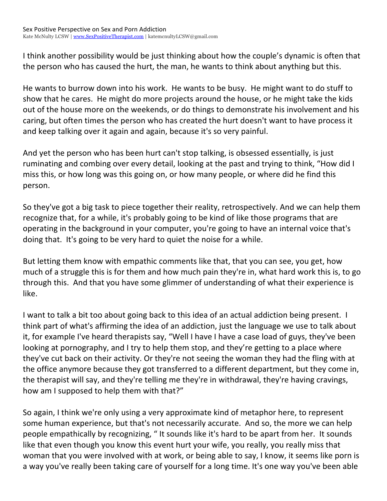I think another possibility would be just thinking about how the couple's dynamic is often that the person who has caused the hurt, the man, he wants to think about anything but this.

He wants to burrow down into his work. He wants to be busy. He might want to do stuff to show that he cares. He might do more projects around the house, or he might take the kids out of the house more on the weekends, or do things to demonstrate his involvement and his caring, but often times the person who has created the hurt doesn't want to have process it and keep talking over it again and again, because it's so very painful.

And yet the person who has been hurt can't stop talking, is obsessed essentially, is just ruminating and combing over every detail, looking at the past and trying to think, "How did I miss this, or how long was this going on, or how many people, or where did he find this person. 

So they've got a big task to piece together their reality, retrospectively. And we can help them recognize that, for a while, it's probably going to be kind of like those programs that are operating in the background in your computer, you're going to have an internal voice that's doing that. It's going to be very hard to quiet the noise for a while.

But letting them know with empathic comments like that, that you can see, you get, how much of a struggle this is for them and how much pain they're in, what hard work this is, to go through this. And that you have some glimmer of understanding of what their experience is like. 

I want to talk a bit too about going back to this idea of an actual addiction being present. I think part of what's affirming the idea of an addiction, just the language we use to talk about it, for example I've heard therapists say, "Well I have I have a case load of guys, they've been looking at pornography, and I try to help them stop, and they're getting to a place where they've cut back on their activity. Or they're not seeing the woman they had the fling with at the office anymore because they got transferred to a different department, but they come in, the therapist will say, and they're telling me they're in withdrawal, they're having cravings, how am I supposed to help them with that?"

So again, I think we're only using a very approximate kind of metaphor here, to represent some human experience, but that's not necessarily accurate. And so, the more we can help people empathically by recognizing, " It sounds like it's hard to be apart from her. It sounds like that even though you know this event hurt your wife, you really, you really miss that woman that you were involved with at work, or being able to say, I know, it seems like porn is a way you've really been taking care of yourself for a long time. It's one way you've been able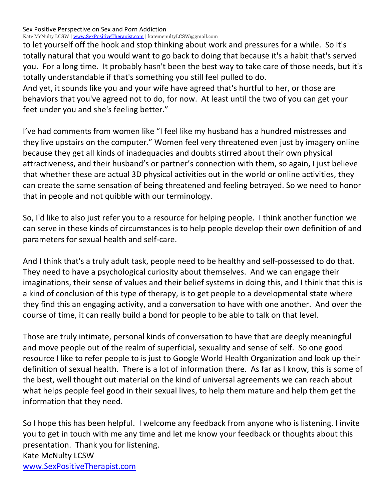Kate McNulty LCSW | www.SexPositiveTherapist.com | katemcnultyLCSW@gmail.com

to let yourself off the hook and stop thinking about work and pressures for a while. So it's totally natural that you would want to go back to doing that because it's a habit that's served you. For a long time. It probably hasn't been the best way to take care of those needs, but it's totally understandable if that's something you still feel pulled to do.

And yet, it sounds like you and your wife have agreed that's hurtful to her, or those are behaviors that you've agreed not to do, for now. At least until the two of you can get your feet under you and she's feeling better."

I've had comments from women like "I feel like my husband has a hundred mistresses and they live upstairs on the computer." Women feel very threatened even just by imagery online because they get all kinds of inadequacies and doubts stirred about their own physical attractiveness, and their husband's or partner's connection with them, so again, I just believe that whether these are actual 3D physical activities out in the world or online activities, they can create the same sensation of being threatened and feeling betrayed. So we need to honor that in people and not quibble with our terminology.

So, I'd like to also just refer you to a resource for helping people. I think another function we can serve in these kinds of circumstances is to help people develop their own definition of and parameters for sexual health and self-care.

And I think that's a truly adult task, people need to be healthy and self-possessed to do that. They need to have a psychological curiosity about themselves. And we can engage their imaginations, their sense of values and their belief systems in doing this, and I think that this is a kind of conclusion of this type of therapy, is to get people to a developmental state where they find this an engaging activity, and a conversation to have with one another. And over the course of time, it can really build a bond for people to be able to talk on that level.

Those are truly intimate, personal kinds of conversation to have that are deeply meaningful and move people out of the realm of superficial, sexuality and sense of self. So one good resource I like to refer people to is just to Google World Health Organization and look up their definition of sexual health. There is a lot of information there. As far as I know, this is some of the best, well thought out material on the kind of universal agreements we can reach about what helps people feel good in their sexual lives, to help them mature and help them get the information that they need.

So I hope this has been helpful. I welcome any feedback from anyone who is listening. I invite you to get in touch with me any time and let me know your feedback or thoughts about this presentation. Thank you for listening. **Kate McNulty LCSW** www.SexPositiveTherapist.com